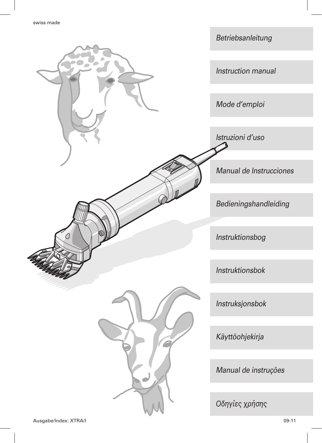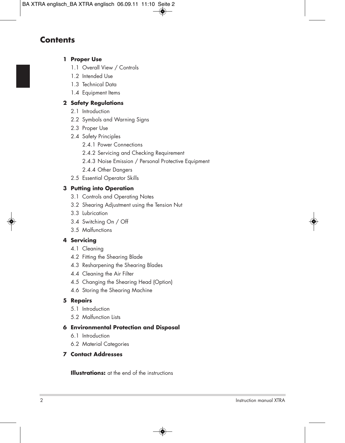## **Contents**

#### **1 Proper Use**

- 1.1 Overall View / Controls
- 1.2 Intended Use
- 1.3 Technical Data
- 1.4 Equipment Items

#### **2 Safety Regulations**

- 2.1 Introduction
- 2.2 Symbols and Warning Signs
- 2.3 Proper Use
- 2.4 Safety Principles
	- 2.4.1 Power Connections
	- 2.4.2 Servicing and Checking Requirement
	- 2.4.3 Noise Emission / Personal Protective Equipment
	- 2.4.4 Other Dangers
- 2.5 Essential Operator Skills

#### **3 Putting into Operation**

- 3.1 Controls and Operating Notes
- 3.2 Shearing Adjustment using the Tension Nut
- 3.3 Lubrication
- 3.4 Switching On / Off
- 3.5 Malfunctions

#### **4 Servicing**

- 4.1 Cleaning
- 4.2 Fitting the Shearing Blade
- 4.3 Resharpening the Shearing Blades
- 4.4 Cleaning the Air Filter
- 4.5 Changing the Shearing Head (Option)
- 4.6 Storing the Shearing Machine

#### **5 Repairs**

- 5.1 Introduction
- 5.2 Malfunction Lists

#### **6 Environmental Protection and Disposal**

- 6.1 Introduction
- 6.2 Material Categories

#### **7 Contact Addresses**

**Illustrations:** at the end of the instructions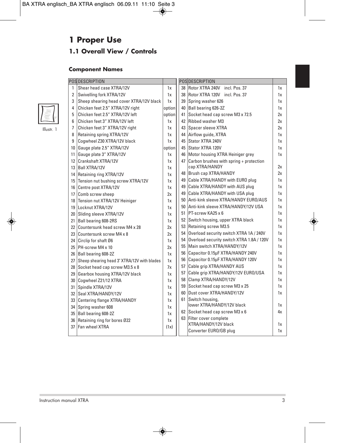# **1 Proper Use**

## **1.1 Overall View / Controls**

### **Component Names**

|                 | <b>POS DESCRIPTION</b>                      |        | POSDESCRIPTION |    |                                              |    |
|-----------------|---------------------------------------------|--------|----------------|----|----------------------------------------------|----|
| 1               | Shear head case XTRA/12V                    | 1х     |                |    | 38 Rotor XTRA 240V<br>incl. Pos. 37          | 1x |
| $\overline{2}$  | Swivelling fork XTRA/12V                    | 1x     |                |    | 38 Rotor XTRA 120V incl. Pos. 37             | 1x |
| 3               | Sheep shearing head cover XTRA/12V black    | 1x     |                |    | 39 Spring washer 626                         | 1x |
| $\overline{4}$  | Chicken feet 2.5" XTRA/12V right            | option |                |    | 40 Ball bearing 626-2Z                       | 1x |
| 5               | Chicken feet 2.5" XTRA/12V left             | option |                |    | 41 Socket head cap screw M3 x 72.5           | 2x |
| 6               | Chicken feet 3" XTRA/12V left               | 1x     |                |    | 42 Ribbed washer M3                          | 2x |
| 7               | Chicken feet 3" XTRA/12V right              | 1x     |                |    | 43 Spacer sleeve XTRA                        | 2x |
| 8               | Retaining spring XTRA/12V                   | 1x     |                |    | 44 Airflow quide, XTRA                       | 1x |
| 9               | Cogwheel Z30 XTRA/12V black                 | 1x     |                | 45 | Stator XTRA 240V                             | 1x |
| 10              | Gauge plate 2.5" XTRA/12V                   | option |                |    | 45 Stator XTRA 120V                          | 1x |
| 11              | Gauge plate 3" XTRA/12V                     | 1х     |                |    | 46 Motor housing XTRA Heiniger grey          | 1x |
| 12              | Crankshaft XTRA/12V                         | 1x     |                | 47 | Carbon brushes with spring + protection      |    |
| 13              | <b>Ball XTRA/12V</b>                        | 1x     |                |    | cap XTRA/HANDY                               | 2x |
| 14              | Retaining ring XTRA/12V                     | 1x     |                |    | 48 Brush cap XTRA/HANDY                      | 2x |
| 15              | Tension nut bushing screw XTRA/12V          | 1x     |                |    | 49 Cable XTRA/HANDY with EURO plug           | 1x |
| 16              | Centre post XTRA/12V                        | 1x     |                |    | 49 Cable XTRA/HANDY with AUS plug            | 1x |
| 17              | Comb screw sheep                            | 2x     |                |    | 49 Cable XTRA/HANDY with USA plug            | 1x |
| 18              | Tension nut XTRA/12V Heiniger               | 1x     |                |    | 50 Anti-kink sleeve XTRA/HANDY EURO/AUS      | 1x |
|                 | 19 Locknut XTRA/12V                         | 1x     |                |    | 50 Anti-kink sleeve XTRA/HANDY/12V USA       | 1x |
| 20 <sup>°</sup> | Sliding sleeve XTRA/12V                     | 1x     |                |    | 51 PT-screw KA25 x 6                         | 1x |
| 21              | Ball bearing 608-2RS                        | 1x     |                |    | 52 Switch housing, upper XTRA black          | 1x |
|                 | 22 Countersunk head screw M4 x 28           | 2x     |                |    | 53 Retaining screw M3.5                      | 1x |
| 23              | Countersunk screw M4 x 8                    | 2x     |                | 54 | Overload security switch XTRA 1A / 240V      | 1x |
| 24              | Circlip for shaft Ø6                        | 1x     |                |    | 54 Overload security switch XTRA 1.8A / 120V | 1x |
| 25 <sup>1</sup> | PH-screw M4 x 10                            | 2x     |                |    | 55 Main switch XTRA/HANDY/12V                | 1x |
| 26              | Ball bearing 608-2Z                         | 1x     |                |    | 56 Capacitor 0.15µF XTRA/HANDY 240V          | 1x |
| 27              | Sheep shearing head 3" XTRA/12V with blades | 1x     |                |    | 56 Capacitor 0.15µF XTRA/HANDY 120V          | 1x |
| 28              | Socket head cap screw M3.5 x 8              | 7x     |                |    | 57 Cable grip XTRA/HANDY AUS                 | 1x |
| 29              | Gearbox housing XTRA/12V black              | 1x     |                |    | 57 Cable grip XTRA/HANDY/12V EURO/USA        | 1x |
| 30              | Coqwheel Z21/12 XTRA                        | 1x     |                |    | 58 Clamp XTRA/HANDY/12V                      | 1x |
| 31              | Spindle XTRA/12V                            | 1x     |                |    | 59 Socket head cap screw M3 x 25             | 1x |
|                 | 32   Seal XTRA/HANDY/12V                    | 1x     |                |    | 60 Dust cover XTRA/HANDY/12V                 | 1x |
|                 | 33 Centering flange XTRA/HANDY              | 1x     |                |    | 61 Switch housing,                           |    |
|                 | 34 Spring washer 608                        | 1x     |                |    | lower XTRA/HANDY/12V black                   | 1x |
|                 | 35 Ball bearing 608-2Z                      | 1x     |                |    | 62 Socket head cap screw M3 x 6              | 4х |
|                 | 36 Retaining ring for bores Ø22             | 1x     |                |    | 63 Filter cover complete                     |    |
| 37              | Fan wheel XTRA                              | (1x)   |                |    | XTRA/HANDY/12V black                         | 1x |
|                 |                                             |        |                |    | Converter EURO/GB plug                       | 1x |



Illustr. 1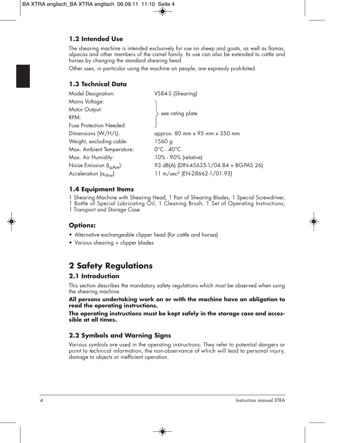## **1.2 Intended Use**

The shearing machine is intended exclusively for use on sheep and goats, as well as llamas, alpacas and other members of the camel family. Its use can also be extended to cattle and horses by changing the standard shearing head.

Other uses, in particular using the machine on people, are expressly prohibited.

### **1.3 Technical Data**

| <b>Model Designation:</b>           | VS84-S (Shearing)                                                  |  |
|-------------------------------------|--------------------------------------------------------------------|--|
| Mains Voltage:                      |                                                                    |  |
| Motor Output:                       |                                                                    |  |
| RPM:                                | see rating plate                                                   |  |
| <b>Fuse Protection Needed:</b>      |                                                                    |  |
| Dimensions (W/H/L):                 | approx. $80 \text{ mm} \times 95 \text{ mm} \times 350 \text{ mm}$ |  |
| Weight, excluding cable:            | 1560 g                                                             |  |
| Max. Ambient Temperature:           | $0^{\circ}$ C - 40 $^{\circ}$ C                                    |  |
| Max. Air Humidity:                  | 10% - 90% (relative)                                               |  |
| Noise Emission (L <sub>pAm</sub> ): | 93 dB(A) (DIN-45635-1/04.84 + BG-PAS 26)                           |  |
| Acceleration (a <sub>vhw</sub> ):   | 11 m/sec <sup>2</sup> (EN-28662-1/01.93)                           |  |
|                                     |                                                                    |  |

#### **1.4 Equipment Items**

1 Shearing Machine with Shearing Head, 1 Pair of Shearing Blades, 1 Special Screwdriver, 1 Bottle of Special Lubricating Oil, 1 Cleaning Brush, 1 Set of Operating Instructions,

1 Transport and Storage Case

## **Options:**

- Alternative exchangeable clipper head (for cattle and horses)
- Various shearing + clipper blades

## **2 Safety Regulations**

## **2.1 Introduction**

This section describes the mandatory safety regulations which must be observed when using the shearing machine.

**All persons undertaking work on or with the machine have an obligation to read the operating instructions.**

**The operating instructions must be kept safely in the storage case and accessible at all times.**

## **2.2 Symbols and Warning Signs**

Various symbols are used in the operating instructions. They refer to potential dangers or point to technical information, the non-observance of which will lead to personal injury, damage to objects or inefficient operation.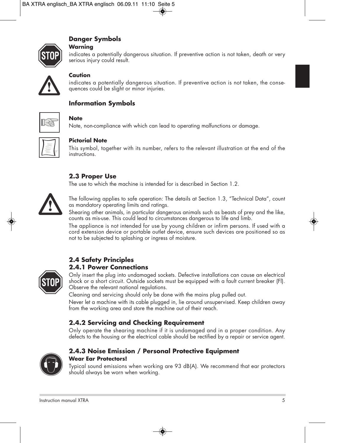## **Danger Symbols**

#### **Warning**

indicates a potentially dangerous situation. If preventive action is not taken, death or very serious injury could result.



#### **Caution**

indicates a potentially dangerous situation. If preventive action is not taken, the consequences could be slight or minor injuries.

## **Information Symbols**



#### **Note**

Note, non-compliance with which can lead to operating malfunctions or damage.



#### **Pictorial Note**

This symbol, together with its number, refers to the relevant illustration at the end of the instructions.

#### **2.3 Proper Use**

The use to which the machine is intended for is described in Section 1.2.



The following applies to safe operation: The details at Section 1.3, "Technical Data", count as mandatory operating limits and ratings.

Shearing other animals, in particular dangerous animals such as beasts of prey and the like, counts as mis-use. This could lead to circumstances dangerous to life and limb.

The appliance is not intended for use by young children or infirm persons. If used with a cord extension device or portable outlet device, ensure such devices are positioned so as not to be subjected to splashing or ingress of moisture.

#### **2.4 Safety Principles 2.4.1 Power Connections**



Only insert the plug into undamaged sockets. Defective installations can cause an electrical shock or a short circuit. Outside sockets must be equipped with a fault current breaker (Fl). Observe the relevant national regulations.

Cleaning and servicing should only be done with the mains plug pulled out.

Never let a machine with its cable plugged in, lie around unsupervised. Keep children away from the working area and store the machine out of their reach.

## **2.4.2 Servicing and Checking Requirement**

Only operate the shearing machine if it is undamaged and in a proper condition. Any defects to the housing or the electrical cable should be rectified by a repair or service agent.



## **2.4.3 Noise Emission / Personal Protective Equipment Wear Ear Protectors!**

Typical sound emissions when working are 93 dB(A). We recommend that ear protectors should always be worn when working.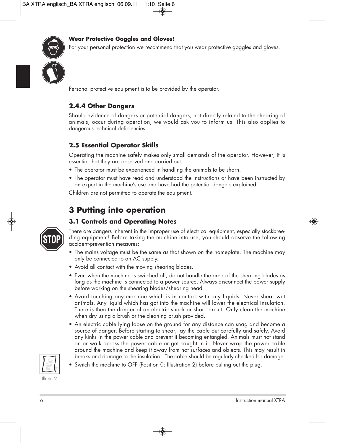



For your personal protection we recommend that you wear protective goggles and gloves.

Personal protective equipment is to be provided by the operator.

#### **2.4.4 Other Dangers**

Should evidence of dangers or potential dangers, not directly related to the shearing of animals, occur during operation, we would ask you to inform us. This also applies to dangerous technical deficiencies.

## **2.5 Essential Operator Skills**

Operating the machine safely makes only small demands of the operator. However, it is essential that they are observed and carried out.

- The operator must be experienced in handling the animals to be shorn.
- The operator must have read and understood the instructions or have been instructed by an expert in the machine's use and have had the potential dangers explained.

Children are not permitted to operate the equipment.

## **3 Putting into operation**

## **3.1 Controls and Operating Notes**



There are dangers inherent in the improper use of electrical equipment, especially stockbreeding equipment! Before taking the machine into use, you should observe the following accident-prevention measures:

- The mains voltage must be the same as that shown on the nameplate. The machine may only be connected to an AC supply.
- Avoid all contact with the moving shearing blades.
- Even when the machine is switched off, do not handle the area of the shearing blades as long as the machine is connected to a power source. Always disconnect the power supply before working on the shearing blades/shearing head.
- Avoid touching any machine which is in contact with any liquids. Never shear wet animals. Any liquid which has got into the machine will lower the electrical insulation. There is then the danger of an electric shock or short circuit. Only clean the machine when dry using a brush or the cleaning brush provided.
- An electric cable lying loose on the ground for any distance can snag and become a source of danger. Before starting to shear, lay the cable out carefully and safely. Avoid any kinks in the power cable and prevent it becoming entangled. Animals must not stand on or walk across the power cable or get caught in it. Never wrap the power cable around the machine and keep it away from hot surfaces and objects. This may result in breaks and damage to the insulation. The cable should be regularly checked for damage.
- 
- Switch the machine to OFF (Position 0: Illustration 2) before pulling out the plug.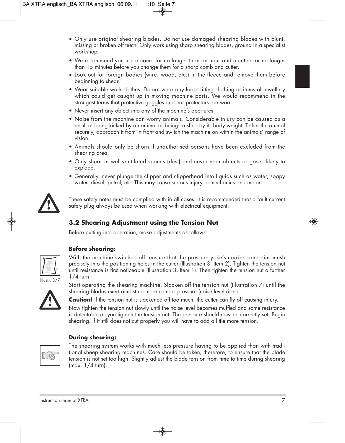- Only use original shearing blades. Do not use damaged shearing blades with blunt, missing or broken off teeth. Only work using sharp shearing blades, ground in a specialist workshop.
- We recommend you use a comb for no longer than an hour and a cutter for no longer than 15 minutes before you change them for a sharp comb and cutter.
- Look out for foreign bodies (wire, wood, etc.) in the fleece and remove them before beginning to shear.
- Wear suitable work clothes. Do not wear any loose fitting clothing or items of jewellery which could get caught up in moving machine parts. We would recommend in the strongest terms that protective goggles and ear protectors are worn.
- Never insert any object into any of the machine's apertures.
- Noise from the machine can worry animals. Considerable injury can be caused as a result of being kicked by an animal or being crushed by its body weight. Tether the animal securely, approach it from in front and switch the machine on within the animals' range of vision.
- Animals should only be shorn if unauthorised persons have been excluded from the shearing area.
- Only shear in well-ventilated spaces (dust) and never near objects or gases likely to explode.
- Generally, never plunge the clipper and clipperhead into liquids such as water, soapy water, diesel, petrol, etc. This may cause serious injury to mechanics and motor.



These safety notes must be complied with in all cases. It is recommended that a fault current safety plug always be used when working with electrical equipment.

## **3.2 Shearing Adjustment using the Tension Nut**

Before putting into operation, make adjustments as follows:



#### **Before shearing:**

With the machine switched off: ensure that the pressure yoke's carrier cone pins mesh precisely into the positioning holes in the cutter (Illustration 3, Item 2). Tighten the tension nut until resistance is first noticeable (Illustration 3, Item 1). Then tighten the tension nut a further 1/4 turn.



Start operating the shearing machine. Slacken off the tension nut (Illustration 7) until the shearing blades exert almost no more contact pressure (noise level rises).

**Caution!** If the tension nut is slackened off too much, the cutter can fly off causing injury.

Now tighten the tension nut slowly until the noise level becomes muffled and some resistance is detectable as you tighten the tension nut. The pressure should now be correctly set. Begin shearing. If it still does not cut properly you will have to add a little more tension.



#### **During shearing:**

The shearing system works with much less pressure having to be applied than with traditional sheep shearing machines. Care should be taken, therefore, to ensure that the blade tension is not set too high. Slightly adjust the blade tension from time to time during shearing (max. 1/4 turn).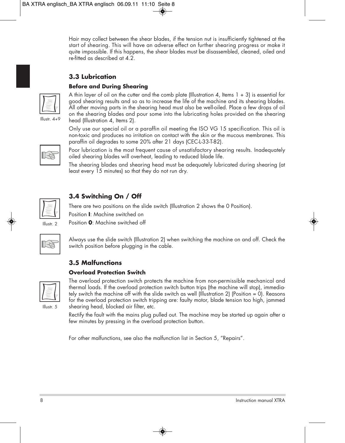Hair may collect between the shear blades, if the tension nut is insufficiently tightened at the start of shearing. This will have an adverse effect on further shearing progress or make it quite impossible. If this happens, the shear blades must be disassembled, cleaned, oiled and re-fitted as described at 4.2.

## **3.3 Lubrication**

#### **Before and During Shearing**



Illustr. 4+9

A thin layer of oil on the cutter and the comb plate (Illustration 4, Items  $1 + 3$ ) is essential for good shearing results and so as to increase the life of the machine and its shearing blades. All other moving parts in the shearing head must also be well-oiled. Place a few drops of oil on the shearing blades and pour some into the lubricating holes provided on the shearing head (Illustration 4, Items 2).

Only use our special oil or a paraffin oil meeting the ISO VG 15 specification. This oil is non-toxic and produces no irritation on contact with the skin or the mucous membranes. This paraffin oil degrades to some 20% after 21 days (CEC-L-33-T-82).



Poor lubrication is the most frequent cause of unsatisfactory shearing results. Inadequately oiled shearing blades will overheat, leading to reduced blade life.

The shearing blades and shearing head must be adequately lubricated during shearing (at least every 15 minutes) so that they do not run dry.



Illustr. 2

## **3.4 Switching On / Off**

There are two positions on the slide switch (Illustration 2 shows the 0 Position).

Position **I**: Machine switched on

Position **0**: Machine switched off

|--|

Always use the slide switch (Illustration 2) when switching the machine on and off. Check the switch position before plugging in the cable.

## **3.5 Malfunctions**

#### **Overload Protection Switch**



Illustr. 5

The overload protection switch protects the machine from non-permissible mechanical and thermal loads. If the overload protection switch button trips (the machine will stop), immediately switch the machine off with the slide switch as well (Illustration 2) (Position = 0). Reasons for the overload protection switch tripping are: faulty motor, blade tension too high, jammed shearing head, blocked air filter, etc.

Rectify the fault with the mains plug pulled out. The machine may be started up again after a few minutes by pressing in the overload protection button.

For other malfunctions, see also the malfunction list in Section 5, "Repairs".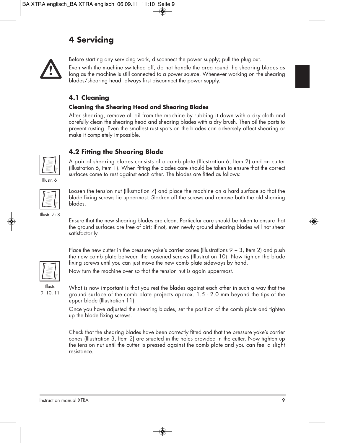## **4 Servicing**



Before starting any servicing work, disconnect the power supply; pull the plug out.

Even with the machine switched off, do not handle the area round the shearing blades as long as the machine is still connected to a power source. Whenever working on the shearing blades/shearing head, always first disconnect the power supply.

## **4.1 Cleaning**

#### **Cleaning the Shearing Head and Shearing Blades**

After shearing, remove all oil from the machine by rubbing it down with a dry cloth and carefully clean the shearing head and shearing blades with a dry brush. Then oil the parts to prevent rusting. Even the smallest rust spots on the blades can adversely affect shearing or make it completely impossible.



#### **4.2 Fitting the Shearing Blade**

A pair of shearing blades consists of a comb plate (Illustration 6, Item 2) and an cutter (Illustration 6, Item 1). When fitting the blades care should be taken to ensure that the correct surfaces come to rest against each other. The blades are fitted as follows:

Illustr. 6



Loosen the tension nut (Illustration 7) and place the machine on a hard surface so that the blade fixing screws lie uppermost. Slacken off the screws and remove both the old shearing blades.

Illustr. 7+8

Ensure that the new shearing blades are clean. Particular care should be taken to ensure that the ground surfaces are free of dirt; if not, even newly ground shearing blades will not shear satisfactorily.

Place the new cutter in the pressure yoke's carrier cones (Illustrations  $9 + 3$ , Item 2) and push the new comb plate between the loosened screws (Illustration 10). Now tighten the blade fixing screws until you can just move the new comb plate sideways by hand.

Now turn the machine over so that the tension nut is again uppermost.

Illustr. 9, 10, 11 What is now important is that you rest the blades against each other in such a way that the ground surface of the comb plate projects approx. 1.5 - 2.0 mm beyond the tips of the upper blade (Illustration 11).

Once you have adjusted the shearing blades, set the position of the comb plate and tighten up the blade fixing screws.

Check that the shearing blades have been correctly fitted and that the pressure yoke's carrier cones (Illustration 3, Item 2) are situated in the holes provided in the cutter. Now tighten up the tension nut until the cutter is pressed against the comb plate and you can feel a slight resistance.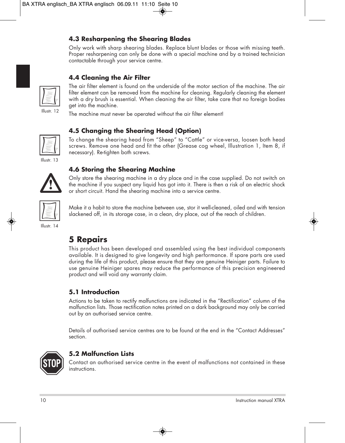## **4.3 Resharpening the Shearing Blades**

Only work with sharp shearing blades. Replace blunt blades or those with missing teeth. Proper resharpening can only be done with a special machine and by a trained technician contactable through your service centre.

## **4.4 Cleaning the Air Filter**



The air filter element is found on the underside of the motor section of the machine. The air filter element can be removed from the machine for cleaning. Regularly cleaning the element with a dry brush is essential. When cleaning the air filter, take care that no foreign bodies get into the machine.

The machine must never be operated without the air filter element!

## **4.5 Changing the Shearing Head (Option)**

To change the shearing head from "Sheep" to "Cattle" or vice-versa, loosen both head screws. Remove one head and fit the other (Grease cog wheel, Illustration 1, Item 8, if necessary). Re-tighten both screws.

Illustr. 13



**4.6 Storing the Shearing Machine**

Only store the shearing machine in a dry place and in the case supplied. Do not switch on the machine if you suspect any liquid has got into it. There is then a risk of an electric shock or short circuit. Hand the shearing machine into a service centre.



Make it a habit to store the machine between use, stor it well-cleaned, oiled and with tension slackened off, in its storage case, in a clean, dry place, out of the reach of children.

Illustr. 14

## **5 Repairs**

This product has been developed and assembled using the best individual components available. It is designed to give longevity and high performance. If spare parts are used during the life of this product, please ensure that they are genuine Heiniger parts. Failure to use genuine Heiniger spares may reduce the performance of this precision engineered product and will void any warranty claim.

#### **5.1 Introduction**

Actions to be taken to rectify malfunctions are indicated in the "Rectification" column of the malfunction lists. Those rectification notes printed on a dark background may only be carried out by an authorised service centre.

Details of authorised service centres are to be found at the end in the "Contact Addresses" section.



#### **5.2 Malfunction Lists**

Contact an authorised service centre in the event of malfunctions not contained in these instructions.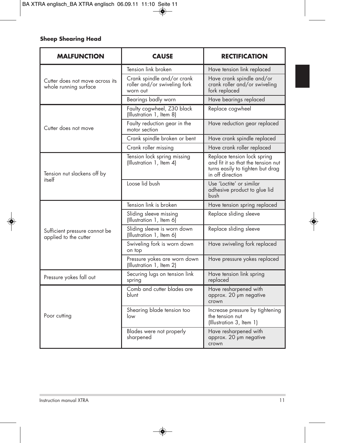#### **Sheep Shearing Head**

| <b>MALFUNCTION</b>                                       | <b>CAUSE</b>                                                           | <b>RECTIFICATION</b>                                                                                                      |
|----------------------------------------------------------|------------------------------------------------------------------------|---------------------------------------------------------------------------------------------------------------------------|
|                                                          | Tension link broken                                                    | Have tension link replaced                                                                                                |
| Cutter does not move across its<br>whole running surface | Crank spindle and/or crank<br>roller and/or swiveling fork<br>worn out | Have crank spindle and/or<br>crank roller and/or swiveling<br>fork replaced                                               |
|                                                          | Bearings badly worn                                                    | Have bearings replaced                                                                                                    |
|                                                          | Faulty cogwheel, Z30 black<br>(Illustration 1, Item 8)                 | Replace cogwheel                                                                                                          |
| Cutter does not move                                     | Faulty reduction gear in the<br>motor section                          | Have reduction gear replaced                                                                                              |
|                                                          | Crank spindle broken or bent                                           | Have crank spindle replaced                                                                                               |
|                                                          | Crank roller missing                                                   | Have crank roller replaced                                                                                                |
| Tension nut slackens off by                              | Tension lock spring missing<br>(Illustration 1, Item 4)                | Replace tension lock spring<br>and fit it so that the tension nut<br>turns easily to tighten but drag<br>in off direction |
| itself                                                   | Loose lid bush                                                         | Use 'Loctite' or similar<br>adhesive product to glue lid<br>hush                                                          |
|                                                          | Tension link is broken                                                 | Have tension spring replaced                                                                                              |
|                                                          | Sliding sleeve missing<br>(Illustration 1, Item 6)                     | Replace sliding sleeve                                                                                                    |
| Sufficient pressure cannot be<br>applied to the cutter   | Sliding sleeve is worn down<br>(Illustration 1, Item 6)                | Replace sliding sleeve                                                                                                    |
|                                                          | Swiveling fork is worn down<br>on top                                  | Have swiveling fork replaced                                                                                              |
|                                                          | Pressure yokes are worn down<br>(Illustration 1, Item 2)               | Have pressure yokes replaced                                                                                              |
| Pressure yokes fall out                                  | Securing lugs on tension link<br>spring                                | Have tension link spring<br>replaced                                                                                      |
|                                                          | Comb and cutter blades are<br>blunt                                    | Have resharpened with<br>approx. 20 um negative<br>crown                                                                  |
| Poor cutting                                             | Shearing blade tension too<br>low                                      | Increase pressure by tightening<br>the tension nut<br>(Illustration 3, Item 1)                                            |
|                                                          | Blades were not properly<br>sharpened                                  | Have resharpened with<br>approx. 20 µm negative<br>crown                                                                  |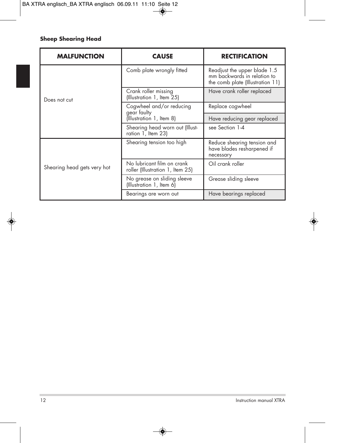#### **Sheep Shearing Head**

| <b>MALFUNCTION</b>          | <b>CAUSE</b>                                                   | <b>RECTIFICATION</b>                                                                            |  |
|-----------------------------|----------------------------------------------------------------|-------------------------------------------------------------------------------------------------|--|
|                             | Comb plate wrongly fitted                                      | Readjust the upper blade 1.5<br>mm backwards in relation to<br>the comb plate (Illustration 11) |  |
| Does not cut                | Crank roller missing<br>(Illustration 1, Item 25)              | Have crank roller replaced                                                                      |  |
|                             | Cogwheel and/or reducing<br>gear faulty                        | Replace cogwheel                                                                                |  |
|                             | (Illustration 1, Item 8)                                       | Have reducing gear replaced                                                                     |  |
|                             | Shearing head worn out (Illust-<br>ration 1, Item 23)          | see Section 1-4                                                                                 |  |
|                             | Shearing tension too high                                      | Reduce shearing tension and<br>have blades resharpened if<br>necessary                          |  |
| Shearing head gets very hot | No lubricant film on crank<br>roller (Illustration 1, Item 25) | Oil crank roller                                                                                |  |
|                             | No grease on sliding sleeve<br>(Illustration 1, Item 6)        | Grease sliding sleeve                                                                           |  |
|                             | Bearings are worn out                                          | Have bearings replaced                                                                          |  |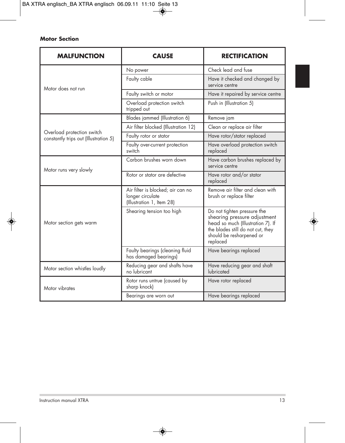#### **Motor Section**

| <b>MALFUNCTION</b>                                                  | <b>CAUSE</b>                                                                       | <b>RECTIFICATION</b>                                                                                                                                                          |
|---------------------------------------------------------------------|------------------------------------------------------------------------------------|-------------------------------------------------------------------------------------------------------------------------------------------------------------------------------|
|                                                                     | No power                                                                           | Check lead and fuse                                                                                                                                                           |
| Motor does not run                                                  | Faulty cable                                                                       | Have it checked and changed by<br>service centre                                                                                                                              |
|                                                                     | Faulty switch or motor                                                             | Have it repaired by service centre                                                                                                                                            |
|                                                                     | Overload protection switch<br>tripped out                                          | Push in (Illustration 5)                                                                                                                                                      |
|                                                                     | Blades jammed (Illustration 6)                                                     | Remove jam                                                                                                                                                                    |
|                                                                     | Air filter blocked (Illustration 12)                                               | Clean or replace air filter                                                                                                                                                   |
| Overload protection switch<br>constantly trips out (Illustration 5) | Faulty rotor or stator                                                             | Have rotor/stator replaced                                                                                                                                                    |
|                                                                     | Faulty over-current protection<br>switch                                           | Have overload protection switch<br>replaced                                                                                                                                   |
| Motor runs very slowly                                              | Carbon brushes worn down                                                           | Have carbon brushes replaced by<br>service centre                                                                                                                             |
|                                                                     | Rotor or stator are defective                                                      | Have rotor and/or stator<br>replaced                                                                                                                                          |
|                                                                     | Air filter is blocked; air can no<br>longer circulate<br>(Illustration 1, Item 28) | Remove air filter and clean with<br>brush or replace filter                                                                                                                   |
| Motor section gets warm                                             | Shearing tension too high                                                          | Do not tighten pressure the<br>shearing pressure adjustment<br>head so much (Illustration 7). If<br>the blades still do not cut, they<br>should be resharpened or<br>replaced |
|                                                                     | Faulty bearings (cleaning fluid<br>has damaged bearings)                           | Have bearings replaced                                                                                                                                                        |
| Motor section whistles loudly                                       | Reducing gear and shafts have<br>no lubricant                                      | Have reducing gear and shaft<br>lubricated                                                                                                                                    |
| Motor vibrates                                                      | Rotor runs untrue (caused by<br>sharp knock)                                       | Have rotor replaced                                                                                                                                                           |
|                                                                     | Bearings are worn out                                                              | Have bearings replaced                                                                                                                                                        |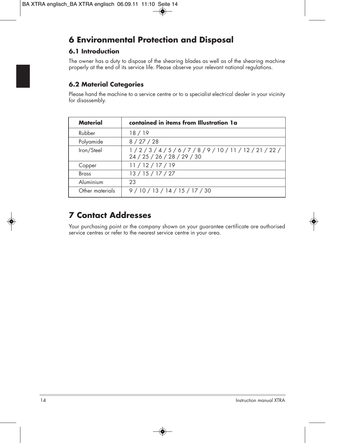## **6 Environmental Protection and Disposal**

## **6.1 Introduction**

The owner has a duty to dispose of the shearing blades as well as of the shearing machine properly at the end of its service life. Please observe your relevant national regulations.

## **6.2 Material Categories**

Please hand the machine to a service centre or to a specialist electrical dealer in your vicinity for disassembly.

| Material        | contained in items from Illustration 1a                          |
|-----------------|------------------------------------------------------------------|
| Rubber          | 18 / 19                                                          |
| Polyamide       | 8/27/28                                                          |
| Iron/Steel      | 1/2/3/4/5/6/7/8/9/10/11/12/21/22/<br>24 / 25 / 26 / 28 / 29 / 30 |
| Copper          | 11/12/17/19                                                      |
| <b>Brass</b>    | 13/15/17/27                                                      |
| Aluminium       | 23                                                               |
| Other materials | 9/10/13/14/15/17/30                                              |

## **7 Contact Addresses**

Your purchasing point or the company shown on your guarantee certificate are authorised service centres or refer to the nearest service centre in your area.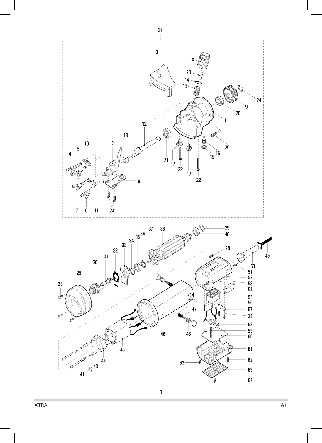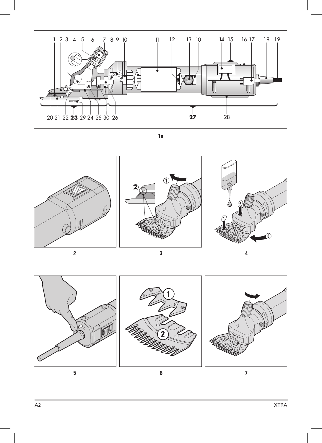

**1a**







**3**



**6**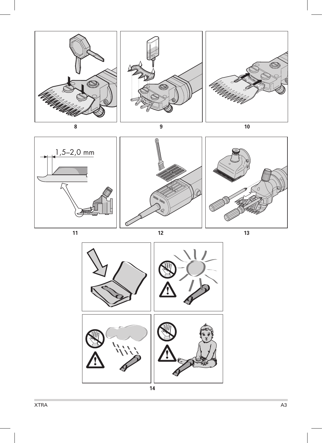

 $1,5-2,0$  mm







XTRA A3